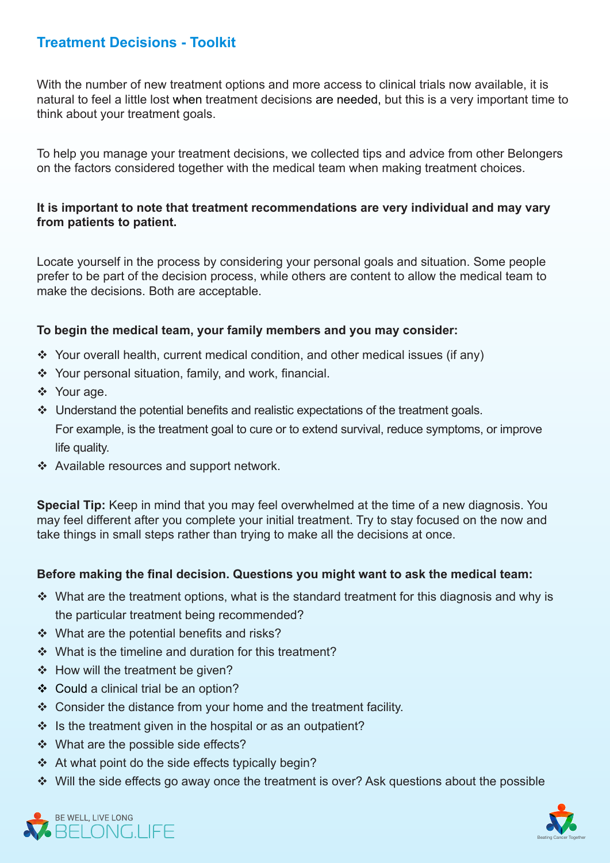# **Treatment Decisions - Toolkit**

With the number of new treatment options and more access to clinical trials now available, it is natural to feel a little lost when treatment decisions are needed, but this is a very important time to think about your treatment goals.

To help you manage your treatment decisions, we collected tips and advice from other Belongers on the factors considered together with the medical team when making treatment choices.

### It is important to note that treatment recommendations are very individual and may vary from patients to patient.

Locate yourself in the process by considering your personal goals and situation. Some people prefer to be part of the decision process, while others are content to allow the medical team to make the decisions. Both are acceptable.

### To begin the medical team, your family members and you may consider:

- $\cdot$  Your overall health, current medical condition, and other medical issues (if any)
- $\cdot$  Your personal situation, family, and work, financial.
- ❖ Your age.
- $\cdot$  Understand the potential benefits and realistic expectations of the treatment goals. For example, is the treatment goal to cure or to extend survival, reduce symptoms, or improve life quality.
- ❖ Available resources and support network.

**Special Tip:** Keep in mind that you may feel overwhelmed at the time of a new diagnosis. You may feel different after you complete your initial treatment. Try to stay focused on the now and take things in small steps rather than trying to make all the decisions at once.

### **Before making the final decision. Questions you might want to ask the medical team:**

- $\cdot$  What are the treatment options, what is the standard treatment for this diagnosis and why is the particular treatment being recommended?
- $\div$  What are the potential benefits and risks?
- $\cdot$  What is the timeline and duration for this treatment?
- $\div$  How will the treatment be given?
- ❖ Could a clinical trial be an option?
- $\div$  Consider the distance from your home and the treatment facility.
- $\cdot$  Is the treatment given in the hospital or as an outpatient?
- $\cdot$  What are the possible side effects?
- $\cdot$  At what point do the side effects typically begin?
- $\div$  Will the side effects go away once the treatment is over? Ask guestions about the possible